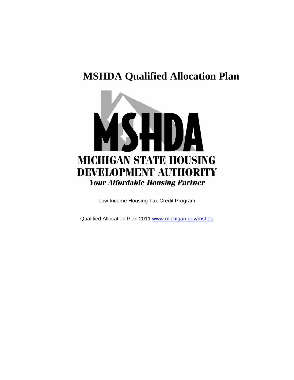# **MSHDA Qualified Allocation Plan**



Low Income Housing Tax Credit Program

Qualified Allocation Plan 2011 [www.michigan.gov/mshda](http://www.michigan.gov/mshda)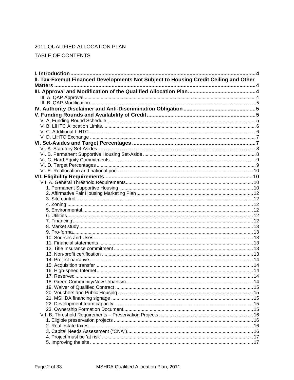# 2011 QUALIFIED ALLOCATION PLAN

TABLE OF CONTENTS

| II. Tax-Exempt Financed Developments Not Subject to Housing Credit Ceiling and Other |  |
|--------------------------------------------------------------------------------------|--|
|                                                                                      |  |
|                                                                                      |  |
|                                                                                      |  |
|                                                                                      |  |
|                                                                                      |  |
|                                                                                      |  |
|                                                                                      |  |
|                                                                                      |  |
|                                                                                      |  |
|                                                                                      |  |
|                                                                                      |  |
|                                                                                      |  |
|                                                                                      |  |
|                                                                                      |  |
|                                                                                      |  |
|                                                                                      |  |
|                                                                                      |  |
|                                                                                      |  |
|                                                                                      |  |
|                                                                                      |  |
|                                                                                      |  |
|                                                                                      |  |
|                                                                                      |  |
|                                                                                      |  |
|                                                                                      |  |
|                                                                                      |  |
|                                                                                      |  |
|                                                                                      |  |
|                                                                                      |  |
|                                                                                      |  |
|                                                                                      |  |
|                                                                                      |  |
|                                                                                      |  |
|                                                                                      |  |
|                                                                                      |  |
|                                                                                      |  |
|                                                                                      |  |
|                                                                                      |  |
|                                                                                      |  |
|                                                                                      |  |
|                                                                                      |  |
|                                                                                      |  |
|                                                                                      |  |
|                                                                                      |  |
|                                                                                      |  |
|                                                                                      |  |
|                                                                                      |  |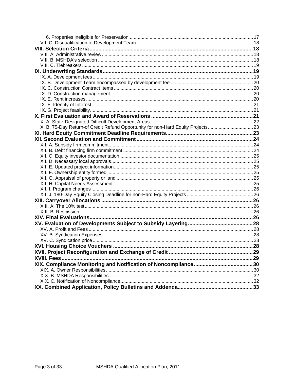| X. B. 75-Day Return-of Credit Refund Opportunity for non-Hard Equity Projects23 |  |
|---------------------------------------------------------------------------------|--|
|                                                                                 |  |
|                                                                                 |  |
|                                                                                 |  |
|                                                                                 |  |
|                                                                                 |  |
|                                                                                 |  |
|                                                                                 |  |
|                                                                                 |  |
|                                                                                 |  |
|                                                                                 |  |
|                                                                                 |  |
|                                                                                 |  |
|                                                                                 |  |
|                                                                                 |  |
|                                                                                 |  |
|                                                                                 |  |
|                                                                                 |  |
|                                                                                 |  |
|                                                                                 |  |
|                                                                                 |  |
|                                                                                 |  |
| XVIII. Fees                                                                     |  |
|                                                                                 |  |
|                                                                                 |  |
|                                                                                 |  |
|                                                                                 |  |
|                                                                                 |  |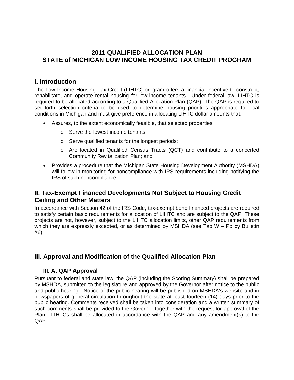## <span id="page-3-0"></span>**2011 QUALIFIED ALLOCATION PLAN STATE of MICHIGAN LOW INCOME HOUSING TAX CREDIT PROGRAM**

## **I. Introduction**

The Low Income Housing Tax Credit (LIHTC) program offers a financial incentive to construct, rehabilitate, and operate rental housing for low-income tenants. Under federal law, LIHTC is required to be allocated according to a Qualified Allocation Plan (QAP). The QAP is required to set forth selection criteria to be used to determine housing priorities appropriate to local conditions in Michigan and must give preference in allocating LIHTC dollar amounts that:

- Assures, to the extent economically feasible, that selected properties:
	- o Serve the lowest income tenants;
	- o Serve qualified tenants for the longest periods;
	- o Are located in Qualified Census Tracts (QCT) and contribute to a concerted Community Revitalization Plan; and
- Provides a procedure that the Michigan State Housing Development Authority (MSHDA) will follow in monitoring for noncompliance with IRS requirements including notifying the IRS of such noncompliance.

# **II. Tax-Exempt Financed Developments Not Subject to Housing Credit Ceiling and Other Matters**

In accordance with Section 42 of the IRS Code, tax-exempt bond financed projects are required to satisfy certain basic requirements for allocation of LIHTC and are subject to the QAP. These projects are not, however, subject to the LIHTC allocation limits, other QAP requirements from which they are expressly excepted, or as determined by MSHDA (see Tab W – Policy Bulletin #6).

# **III. Approval and Modification of the Qualified Allocation Plan**

## **III. A. QAP Approval**

Pursuant to federal and state law, the QAP (including the Scoring Summary) shall be prepared by MSHDA, submitted to the legislature and approved by the Governor after notice to the public and public hearing. Notice of the public hearing will be published on MSHDA's website and in newspapers of general circulation throughout the state at least fourteen (14) days prior to the public hearing. Comments received shall be taken into consideration and a written summary of such comments shall be provided to the Governor together with the request for approval of the Plan. LIHTCs shall be allocated in accordance with the QAP and any amendment(s) to the QAP.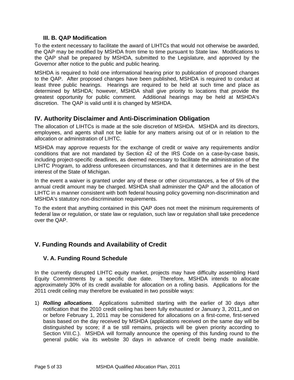## **III. B. QAP Modification**

<span id="page-4-0"></span>To the extent necessary to facilitate the award of LIHTCs that would not otherwise be awarded, the QAP may be modified by MSHDA from time to time pursuant to State law. Modifications to the QAP shall be prepared by MSHDA, submitted to the Legislature, and approved by the Governor after notice to the public and public hearing.

MSHDA is required to hold one informational hearing prior to publication of proposed changes to the QAP. After proposed changes have been published, MSHDA is required to conduct at least three public hearings. Hearings are required to be held at such time and place as determined by MSHDA; however, MSHDA shall give priority to locations that provide the greatest opportunity for public comment. Additional hearings may be held at MSHDA's discretion. The QAP is valid until it is changed by MSHDA.

# **IV. Authority Disclaimer and Anti-Discrimination Obligation**

The allocation of LIHTCs is made at the sole discretion of MSHDA. MSHDA and its directors, employees, and agents shall not be liable for any matters arising out of or in relation to the allocation or administration of LIHTC.

MSHDA may approve requests for the exchange of credit or waive any requirements and/or conditions that are not mandated by Section 42 of the IRS Code on a case-by-case basis, including project-specific deadlines, as deemed necessary to facilitate the administration of the LIHTC Program, to address unforeseen circumstances, and that it determines are in the best interest of the State of Michigan.

In the event a waiver is granted under any of these or other circumstances, a fee of 5% of the annual credit amount may be charged. MSHDA shall administer the QAP and the allocation of LIHTC in a manner consistent with both federal housing policy governing non-discrimination and MSHDA's statutory non-discrimination requirements.

To the extent that anything contained in this QAP does not meet the minimum requirements of federal law or regulation, or state law or regulation, such law or regulation shall take precedence over the QAP.

# **V. Funding Rounds and Availability of Credit**

## **V. A. Funding Round Schedule**

In the currently disrupted LIHTC equity market, projects may have difficulty assembling Hard Equity Commitments by a specific due date. Therefore, MSHDA intends to allocate approximately 30% of its credit available for allocation on a rolling basis. Applications for the 2011 credit ceiling may therefore be evaluated in two possible ways:

1) *Rolling allocations*. Applications submitted starting with the earlier of 30 days after notification that the 2010 credit ceiling has been fully exhausted or January 3, 2011,,and on or before February 1, 2011 may be considered for allocations on a first-come, first-served basis based on the day received by MSHDA (applications received on the same day will be distinguished by score; if a tie still remains, projects will be given priority according to Section VIII.C.). MSHDA will formally announce the opening of this funding round to the general public via its website 30 days in advance of credit being made available.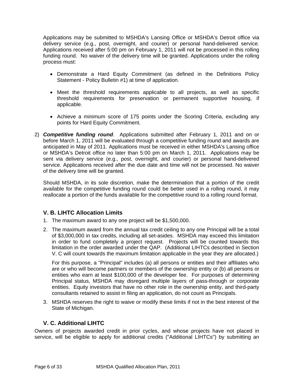<span id="page-5-0"></span>Applications may be submitted to MSHDA's Lansing Office or MSHDA's Detroit office via delivery service (e.g., post, overnight, and courier) or personal hand-delivered service. Applications received after 5:00 pm on February 1, 2011 will not be processed in this rolling funding round. No waiver of the delivery time will be granted. Applications under the rolling process must:

- Demonstrate a Hard Equity Commitment (as defined in the Definitions Policy Statement - Policy Bulletin #1) at time of application.
- Meet the threshold requirements applicable to all projects, as well as specific threshold requirements for preservation or permanent supportive housing, if applicable.
- Achieve a minimum score of 175 points under the Scoring Criteria, excluding any points for Hard Equity Commitment.
- 2) *Competitive funding round*. Applications submitted after February 1, 2011 and on or before March 1, 2011 will be evaluated through a competitive funding round and awards are anticipated in May of 2011. Applications must be received in either MSHDA's Lansing office or MSHDA's Detroit office no later than 5:00 pm on March 1, 2011. Applications may be sent via delivery service (e.g., post, overnight, and courier) or personal hand-delivered service. Applications received after the due date and time will not be processed. No waiver of the delivery time will be granted.

Should MSHDA, in its sole discretion, make the determination that a portion of the credit available for the competitive funding round could be better used in a rolling round, it may reallocate a portion of the funds available for the competitive round to a rolling round format.

## **V. B. LIHTC Allocation Limits**

- 1. The maximum award to any one project will be \$1,500,000.
- 2. The maximum award from the annual tax credit ceiling to any one Principal will be a total of \$3,000,000 in tax credits, including all set-asides. MSHDA may exceed this limitation in order to fund completely a project request. Projects will be counted towards this limitation in the order awarded under the QAP. (Additional LIHTCs described in Section [V. C](#page-5-1) will count towards the maximum limitation applicable in the year they are allocated.)

For this purpose, a "Principal" includes (a) all persons or entities and their affiliates who are or who will become partners or members of the ownership entity or (b) all persons or entities who earn at least \$100,000 of the developer fee. For purposes of determining Principal status, MSHDA may disregard multiple layers of pass-through or corporate entities. Equity investors that have no other role in the ownership entity, and third-party consultants retained to assist in filing an application, do not count as Principals.

3. MSHDA reserves the right to waive or modify these limits if not in the best interest of the State of Michigan.

## **V. C. Additional LIHTC**

<span id="page-5-1"></span>Owners of projects awarded credit in prior cycles, and whose projects have not placed in service, will be eligible to apply for additional credits ("Additional LIHTCs") by submitting an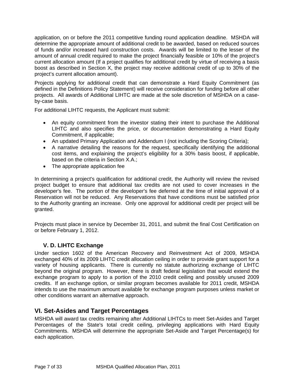<span id="page-6-0"></span>application, on or before the 2011 competitive funding round application deadline. MSHDA will determine the appropriate amount of additional credit to be awarded, based on reduced sources of funds and/or increased hard construction costs. Awards will be limited to the lesser of the amount of annual credit required to make the project financially feasible or 10% of the project's current allocation amount (If a project qualifies for additional credit by virtue of receiving a basis boost as described in Section X, the project may receive additional credit of up to 30% of the project's current allocation amount).

Projects applying for additional credit that can demonstrate a Hard Equity Commitment (as defined in the Definitions Policy Statement) will receive consideration for funding before all other projects. All awards of Additional LIHTC are made at the sole discretion of MSHDA on a caseby-case basis.

For additional LIHTC requests, the Applicant must submit:

- An equity commitment from the investor stating their intent to purchase the Additional LIHTC and also specifies the price, or documentation demonstrating a Hard Equity Commitment, if applicable;
- An updated Primary Application and Addendum I (not including the Scoring Criteria);
- A narrative detailing the reasons for the request, specifically identifying the additional cost items, and explaining the project's eligibility for a 30% basis boost, if applicable, based on the criteria in Section X.A.;
- The appropriate application fee

In determining a project's qualification for additional credit, the Authority will review the revised project budget to ensure that additional tax credits are not used to cover increases in the developer's fee. The portion of the developer's fee deferred at the time of initial approval of a Reservation will not be reduced. Any Reservations that have conditions must be satisfied prior to the Authority granting an increase. Only one approval for additional credit per project will be granted.

Projects must place in service by December 31, 2011, and submit the final Cost Certification on or before February 1, 2012.

## **V. D. LIHTC Exchange**

Under section 1602 of the American Recovery and Reinvestment Act of 2009, MSHDA exchanged 40% of its 2009 LIHTC credit allocation ceiling in order to provide grant support for a variety of housing applicants. There is currently no statute authorizing exchange of LIHTC beyond the original program. However, there is draft federal legislation that would extend the exchange program to apply to a portion of the 2010 credit ceiling and possibly unused 2009 credits. If an exchange option, or similar program becomes available for 2011 credit, MSHDA intends to use the maximum amount available for exchange program purposes unless market or other conditions warrant an alternative approach.

# **VI. Set-Asides and Target Percentages**

MSHDA will award tax credits remaining after Additional LIHTCs to meet Set-Asides and Target Percentages of the State's total credit ceiling, privileging applications with Hard Equity Commitments. MSHDA will determine the appropriate Set-Aside and Target Percentage(s) for each application.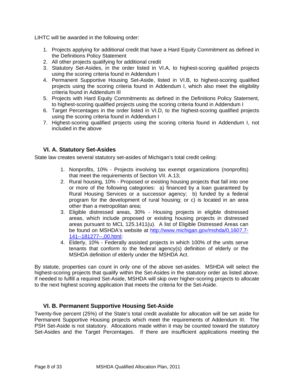<span id="page-7-0"></span>LIHTC will be awarded in the following order:

- 1. Projects applying for additional credit that have a Hard Equity Commitment as defined in the Definitions Policy Statement
- 2. All other projects qualifying for additional credit
- 3. Statutory Set-Asides, in the order listed in VI.A, to highest-scoring qualified projects using the scoring criteria found in Addendum I
- 4. Permanent Supportive Housing Set-Aside, listed in VI.B, to highest-scoring qualified projects using the scoring criteria found in Addendum I, which also meet the eligibility criteria found in Addendum III
- 5. Projects with Hard Equity Commitments as defined in the Definitions Policy Statement, to highest-scoring qualified projects using the scoring criteria found in Addendum I
- 6. Target Percentages in the order listed in VI.D, to the highest-scoring qualified projects using the scoring criteria found in Addendum I
- 7. Highest-scoring qualified projects using the scoring criteria found in Addendum I, not included in the above

## **VI. A. Statutory Set-Asides**

State law creates several statutory set-asides of Michigan's total credit ceiling:

- 1. Nonprofits, 10% Projects involving tax exempt organizations (nonprofits) that meet the requirements of Section [VII. A.13;](#page-12-1)
- 2. Rural housing, 10% Proposed or existing housing projects that fall into one or more of the following categories: a) financed by a loan guaranteed by Rural Housing Services or a successor agency; b) funded by a federal program for the development of rural housing; or c) is located in an area other than a metropolitan area;
- 3. Eligible distressed areas, 30% Housing projects in eligible distressed areas, which include proposed or existing housing projects in distressed areas pursuant to MCL 125.1411(u). A list of Eligible Distressed Areas can be found on MSHDA's website at [http://www.michigan.gov/mshda/0,1607,7-](http://www.michigan.gov/mshda/0,1607,7-141--181277--,00.html) [141--181277--,00.html;](http://www.michigan.gov/mshda/0,1607,7-141--181277--,00.html)
- 4. Elderly, 10% Federally assisted projects in which 100% of the units serve tenants that conform to the federal agency(s) definition of elderly or the MSHDA definition of elderly under the MSHDA Act.

By statute, properties can count in only one of the above set-asides. MSHDA will select the highest-scoring projects that qualify within the Set-Asides in the statutory order as listed above. If needed to fulfill a required Set-Aside, MSHDA will skip over higher-scoring projects to allocate to the next highest scoring application that meets the criteria for the Set-Aside.

## **VI. B. Permanent Supportive Housing Set-Aside**

Twenty-five percent (25%) of the State's total credit available for allocation will be set aside for Permanent Supportive Housing projects which meet the requirements of Addendum III. The PSH Set-Aside is not statutory. Allocations made within it may be counted toward the statutory Set-Asides and the Target Percentages. If there are insufficient applications meeting the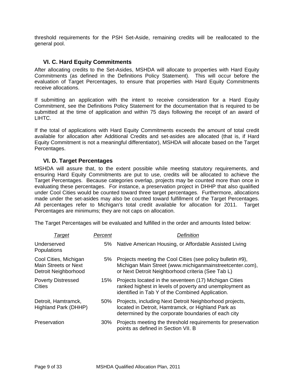<span id="page-8-0"></span>threshold requirements for the PSH Set-Aside, remaining credits will be reallocated to the general pool.

#### **VI. C. Hard Equity Commitments**

After allocating credits to the Set-Asides, MSHDA will allocate to properties with Hard Equity Commitments (as defined in the Definitions Policy Statement). This will occur before the evaluation of Target Percentages, to ensure that properties with Hard Equity Commitments receive allocations.

If submitting an application with the intent to receive consideration for a Hard Equity Commitment, see the Definitions Policy Statement for the documentation that is required to be submitted at the time of application and within 75 days following the receipt of an award of LIHTC.

If the total of applications with Hard Equity Commitments exceeds the amount of total credit available for allocation after Additional Credits and set-asides are allocated (that is, if Hard Equity Commitment is not a meaningful differentiator), MSHDA will allocate based on the Target Percentages.

#### **VI. D. Target Percentages**

MSHDA will assure that, to the extent possible while meeting statutory requirements, and ensuring Hard Equity Commitments are put to use, credits will be allocated to achieve the Target Percentages. Because categories overlap, projects may be counted more than once in evaluating these percentages. For instance, a preservation project in DHHP that also qualified under Cool Cities would be counted toward three target percentages. Furthermore, allocations made under the set-asides may also be counted toward fulfillment of the Target Percentages. All percentages refer to Michigan's total credit available for allocation for 2011. Target Percentages are minimums; they are not caps on allocation.

The Target Percentages will be evaluated and fulfilled in the order and amounts listed below:

| Target                                                                       | Percent | Definition                                                                                                                                                                  |
|------------------------------------------------------------------------------|---------|-----------------------------------------------------------------------------------------------------------------------------------------------------------------------------|
| Underserved<br>Populations                                                   | 5%      | Native American Housing, or Affordable Assisted Living                                                                                                                      |
| Cool Cities, Michigan<br><b>Main Streets or Next</b><br>Detroit Neighborhood | 5%      | Projects meeting the Cool Cities (see policy bulletin #9),<br>Michigan Main Street (www.michiganmainstreetcenter.com),<br>or Next Detroit Neighborhood criteria (See Tab L) |
| <b>Poverty Distressed</b><br>Cities                                          | 15%     | Projects located in the seventeen (17) Michigan Cities<br>ranked highest in levels of poverty and unemployment as<br>identified in Tab Y of the Combined Application.       |
| Detroit, Hamtramck,<br>Highland Park (DHHP)                                  | 50%     | Projects, including Next Detroit Neighborhood projects,<br>located in Detroit, Hamtramck, or Highland Park as<br>determined by the corporate boundaries of each city        |
| Preservation                                                                 | $30\%$  | Projects meeting the threshold requirements for preservation<br>points as defined in Section VII. B                                                                         |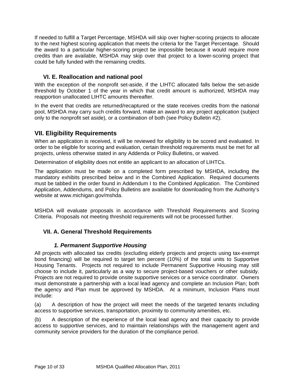<span id="page-9-0"></span>If needed to fulfill a Target Percentage, MSHDA will skip over higher-scoring projects to allocate to the next highest scoring application that meets the criteria for the Target Percentage. Should the award to a particular higher-scoring project be impossible because it would require more credits than are available, MSHDA may skip over that project to a lower-scoring project that could be fully funded with the remaining credits.

## **VI. E. Reallocation and national pool**

With the exception of the nonprofit set-aside, if the LIHTC allocated falls below the set-aside threshold by October 1 of the year in which that credit amount is authorized, MSHDA may reapportion unallocated LIHTC amounts thereafter.

In the event that credits are returned/recaptured or the state receives credits from the national pool, MSHDA may carry such credits forward, make an award to any project application (subject only to the nonprofit set aside), or a combination of both (see Policy Bulletin #2).

# **VII. Eligibility Requirements**

When an application is received, it will be reviewed for eligibility to be scored and evaluated. In order to be eligible for scoring and evaluation, certain threshold requirements must be met for all projects, unless otherwise stated in any Addenda or Policy Bulletins, or waived.

Determination of eligibility does not entitle an applicant to an allocation of LIHTCs.

The application must be made on a completed form prescribed by MSHDA, including the mandatory exhibits prescribed below and in the Combined Application. Required documents must be tabbed in the order found in Addendum I to the Combined Application. The Combined Application, Addendums, and Policy Bulletins are available for downloading from the Authority's website at www.michigan.gov/mshda.

MSHDA will evaluate proposals in accordance with Threshold Requirements and Scoring Criteria. Proposals not meeting threshold requirements will not be processed further.

## **VII. A. General Threshold Requirements**

## *1. Permanent Supportive Housing*.

All projects with allocated tax credits (excluding elderly projects and projects using tax-exempt bond financing) will be required to target ten percent (10%) of the total units to Supportive Housing Tenants. Projects not required to include Permanent Supportive Housing may still choose to include it, particularly as a way to secure project-based vouchers or other subsidy. Projects are not required to provide onsite supportive services or a service coordinator. Owners must demonstrate a partnership with a local lead agency and complete an Inclusion Plan; both the agency and Plan must be approved by MSHDA. At a minimum, Inclusion Plans must include:

(a) A description of how the project will meet the needs of the targeted tenants including access to supportive services, transportation, proximity to community amenities, etc.

(b) A description of the experience of the local lead agency and their capacity to provide access to supportive services, and to maintain relationships with the management agent and community service providers for the duration of the compliance period.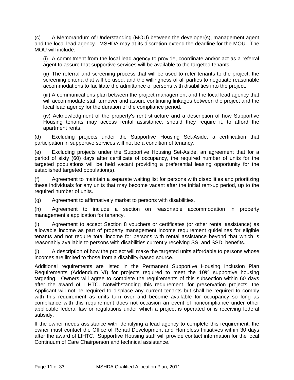(c) A Memorandum of Understanding (MOU) between the developer(s), management agent and the local lead agency. MSHDA may at its discretion extend the deadline for the MOU. The MOU will include:

(i) A commitment from the local lead agency to provide, coordinate and/or act as a referral agent to assure that supportive services will be available to the targeted tenants.

(ii) The referral and screening process that will be used to refer tenants to the project, the screening criteria that will be used, and the willingness of all parties to negotiate reasonable accommodations to facilitate the admittance of persons with disabilities into the project.

(iii) A communications plan between the project management and the local lead agency that will accommodate staff turnover and assure continuing linkages between the project and the local lead agency for the duration of the compliance period.

(iv) Acknowledgment of the property's rent structure and a description of how Supportive Housing tenants may access rental assistance, should they require it, to afford the apartment rents.

(d) Excluding projects under the Supportive Housing Set-Aside, a certification that participation in supportive services will not be a condition of tenancy.

(e) Excluding projects under the Supportive Housing Set-Aside, an agreement that for a period of sixty (60) days after certificate of occupancy, the required number of units for the targeted populations will be held vacant providing a preferential leasing opportunity for the established targeted population(s).

(f) Agreement to maintain a separate waiting list for persons with disabilities and prioritizing these individuals for any units that may become vacant after the initial rent-up period, up to the required number of units.

(g) Agreement to affirmatively market to persons with disabilities.

(h) Agreement to include a section on reasonable accommodation in property management's application for tenancy.

(i) Agreement to accept Section 8 vouchers or certificates (or other rental assistance) as allowable income as part of property management income requirement guidelines for eligible tenants and not require total income for persons with rental assistance beyond that which is reasonably available to persons with disabilities currently receiving SSI and SSDI benefits.

(j) A description of how the project will make the targeted units affordable to persons whose incomes are limited to those from a disability-based source.

Additional requirements are listed in the Permanent Supportive Housing Inclusion Plan Requirements (Addendum VI) for projects required to meet the 10% supportive housing targeting. Owners will agree to complete the requirements of this subsection within 60 days after the award of LIHTC. Notwithstanding this requirement, for preservation projects, the Applicant will not be required to displace any current tenants but shall be required to comply with this requirement as units turn over and become available for occupancy so long as compliance with this requirement does not occasion an event of noncompliance under other applicable federal law or regulations under which a project is operated or is receiving federal subsidy.

If the owner needs assistance with identifying a lead agency to complete this requirement, the owner must contact the Office of Rental Development and Homeless Initiatives within 30 days after the award of LIHTC. Supportive Housing staff will provide contact information for the local Continuum of Care Chairperson and technical assistance.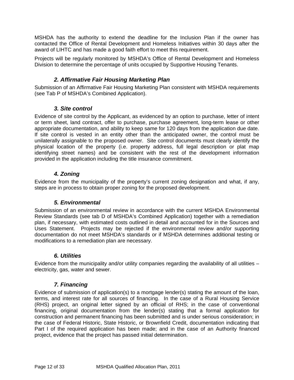<span id="page-11-0"></span>MSHDA has the authority to extend the deadline for the Inclusion Plan if the owner has contacted the Office of Rental Development and Homeless Initiatives within 30 days after the award of LIHTC and has made a good faith effort to meet this requirement.

Projects will be regularly monitored by MSHDA's Office of Rental Development and Homeless Division to determine the percentage of units occupied by Supportive Housing Tenants.

## *2. Affirmative Fair Housing Marketing Plan*

Submission of an Affirmative Fair Housing Marketing Plan consistent with MSHDA requirements (see Tab P of MSHDA's Combined Application).

## *3. Site control*

Evidence of site control by the Applicant, as evidenced by an option to purchase, letter of intent or term sheet, land contract, offer to purchase, purchase agreement, long-term lease or other appropriate documentation, and ability to keep same for 120 days from the application due date. If site control is vested in an entity other than the anticipated owner, the control must be unilaterally assignable to the proposed owner. Site control documents must clearly identify the physical location of the property (i.e. property address, full legal description or plat map identifying street names) and be consistent with the rest of the development information provided in the application including the title insurance commitment.

## *4. Zoning*

Evidence from the municipality of the property's current zoning designation and what, if any, steps are in process to obtain proper zoning for the proposed development.

## *5. Environmental*

Submission of an environmental review in accordance with the current MSHDA Environmental Review Standards (see tab D of MSHDA's Combined Application) together with a remediation plan, if necessary, with estimated costs outlined in detail and accounted for in the Sources and Uses Statement. Projects may be rejected if the environmental review and/or supporting documentation do not meet MSHDA's standards or if MSHDA determines additional testing or modifications to a remediation plan are necessary.

## *6. Utilities*

Evidence from the municipality and/or utility companies regarding the availability of all utilities – electricity, gas, water and sewer.

## *7. Financing*

Evidence of submission of application(s) to a mortgage lender(s) stating the amount of the loan, terms, and interest rate for all sources of financing. In the case of a Rural Housing Service (RHS) project, an original letter signed by an official of RHS; in the case of conventional financing, original documentation from the lender(s) stating that a formal application for construction and permanent financing has been submitted and is under serious consideration; in the case of Federal Historic, State Historic, or Brownfield Credit, documentation indicating that Part I of the required application has been made; and in the case of an Authority financed project, evidence that the project has passed initial determination.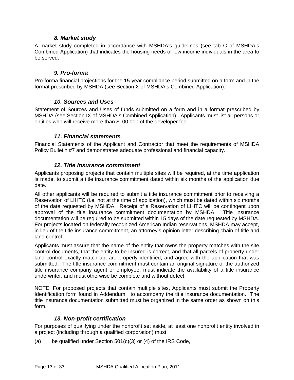## *8. Market study*

<span id="page-12-0"></span>A market study completed in accordance with MSHDA's guidelines (see tab C of MSHDA's Combined Application) that indicates the housing needs of low-income individuals in the area to be served.

#### *9. Pro-forma*

Pro-forma financial projections for the 15-year compliance period submitted on a form and in the format prescribed by MSHDA (see Section X of MSHDA's Combined Application).

#### *10. Sources and Uses*

Statement of Sources and Uses of funds submitted on a form and in a format prescribed by MSHDA (see Section IX of MSHDA's Combined Application). Applicants must list all persons or entities who will receive more than \$100,000 of the developer fee.

#### *11. Financial statements*

Financial Statements of the Applicant and Contractor that meet the requirements of MSHDA Policy Bulletin #7 and demonstrates adequate professional and financial capacity.

#### *12. Title Insurance commitment*

Applicants proposing projects that contain multiple sites will be required, at the time application is made, to submit a title insurance commitment dated within six months of the application due date.

All other applicants will be required to submit a title insurance commitment prior to receiving a Reservation of LIHTC (i.e. not at the time of application), which must be dated within six months of the date requested by MSHDA. Receipt of a Reservation of LIHTC will be contingent upon approval of the title insurance commitment documentation by MSHDA. Title insurance documentation will be required to be submitted within 15 days of the date requested by MSHDA. For projects located on federally recognized American Indian reservations, MSHDA may accept, in lieu of the title insurance commitment, an attorney's opinion letter describing chain of title and land control.

Applicants must assure that the name of the entity that owns the property matches with the site control documents, that the entity to be insured is correct, and that all parcels of property under land control exactly match up, are properly identified, and agree with the application that was submitted. The title insurance commitment must contain an original signature of the authorized title insurance company agent or employee, must indicate the availability of a title insurance underwriter, and must otherwise be complete and without defect.

NOTE: For proposed projects that contain multiple sites, Applicants must submit the Property Identification form found in Addendum I to accompany the title insurance documentation. The title insurance documentation submitted must be organized in the same order as shown on this form.

## *13. Non-profit certification*

<span id="page-12-1"></span>For purposes of qualifying under the nonprofit set aside, at least one nonprofit entity involved in a project (including through a qualified corporation) must:

(a) be qualified under Section 501(c)(3) or (4) of the IRS Code,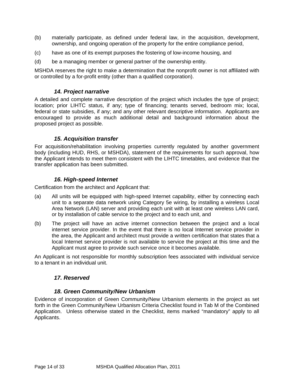- <span id="page-13-0"></span>(b) materially participate, as defined under federal law, in the acquisition, development, ownership, and ongoing operation of the property for the entire compliance period,
- (c) have as one of its exempt purposes the fostering of low-income housing, and
- (d) be a managing member or general partner of the ownership entity.

MSHDA reserves the right to make a determination that the nonprofit owner is not affiliated with or controlled by a for-profit entity (other than a qualified corporation).

#### *14. Project narrative*

A detailed and complete narrative description of the project which includes the type of project; location; prior LIHTC status, if any; type of financing; tenants served, bedroom mix; local, federal or state subsidies, if any; and any other relevant descriptive information. Applicants are encouraged to provide as much additional detail and background information about the proposed project as possible.

#### *15. Acquisition transfer*

For acquisition/rehabilitation involving properties currently regulated by another government body (including HUD, RHS, or MSHDA), statement of the requirements for such approval, how the Applicant intends to meet them consistent with the LIHTC timetables, and evidence that the transfer application has been submitted.

#### *16. High-speed Internet*

Certification from the architect and Applicant that:

- (a) All units will be equipped with high-speed Internet capability, either by connecting each unit to a separate data network using Category 5e wiring, by installing a wireless Local Area Network (LAN) server and providing each unit with at least one wireless LAN card, or by installation of cable service to the project and to each unit, and
- (b) The project will have an active internet connection between the project and a local internet service provider. In the event that there is no local Internet service provider in the area, the Applicant and architect must provide a written certification that states that a local Internet service provider is not available to service the project at this time and the Applicant must agree to provide such service once it becomes available.

An Applicant is not responsible for monthly subscription fees associated with individual service to a tenant in an individual unit.

#### *17. Reserved*

#### *18. Green Community/New Urbanism*

Evidence of incorporation of Green Community/New Urbanism elements in the project as set forth in the Green Community/New Urbanism Criteria Checklist found in Tab M of the Combined Application. Unless otherwise stated in the Checklist, items marked "mandatory" apply to all Applicants.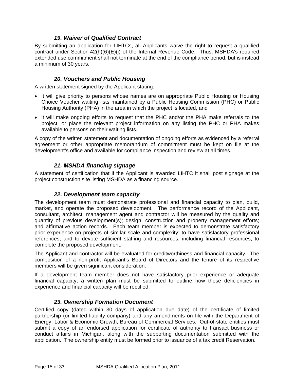## *19. Waiver of Qualified Contract*

<span id="page-14-0"></span>By submitting an application for LIHTCs, all Applicants waive the right to request a qualified contract under Section 42(h)(6)(E)(i) of the Internal Revenue Code. Thus, MSHDA's required extended use commitment shall not terminate at the end of the compliance period, but is instead a minimum of 30 years.

## *20. Vouchers and Public Housing*

A written statement signed by the Applicant stating:

- it will give priority to persons whose names are on appropriate Public Housing or Housing Choice Voucher waiting lists maintained by a Public Housing Commission (PHC) or Public Housing Authority (PHA) in the area in which the project is located, and
- it will make ongoing efforts to request that the PHC and/or the PHA make referrals to the project, or place the relevant project information on any listing the PHC or PHA makes available to persons on their waiting lists.

A copy of the written statement and documentation of ongoing efforts as evidenced by a referral agreement or other appropriate memorandum of commitment must be kept on file at the development's office and available for compliance inspection and review at all times.

## *21. MSHDA financing signage*

A statement of certification that if the Applicant is awarded LIHTC it shall post signage at the project construction site listing MSHDA as a financing source.

## *22. Development team capacity*

The development team must demonstrate professional and financial capacity to plan, build, market, and operate the proposed development. The performance record of the Applicant, consultant, architect, management agent and contractor will be measured by the quality and quantity of previous development(s); design, construction and property management efforts; and affirmative action records. Each team member is expected to demonstrate satisfactory prior experience on projects of similar scale and complexity; to have satisfactory professional references; and to devote sufficient staffing and resources, including financial resources, to complete the proposed development.

The Applicant and contractor will be evaluated for creditworthiness and financial capacity. The composition of a non-profit Applicant's Board of Directors and the tenure of its respective members will be given significant consideration.

If a development team member does not have satisfactory prior experience or adequate financial capacity, a written plan must be submitted to outline how these deficiencies in experience and financial capacity will be rectified.

## *23. Ownership Formation Document*

Certified copy (dated within 30 days of application due date) of the certificate of limited partnership (or limited liability company) and any amendments on file with the Department of Energy, Labor & Economic Growth, Bureau of Commercial Services. Out-of-state entities must submit a copy of an endorsed application for certificate of authority to transact business or conduct affairs in Michigan, along with the supporting documentation submitted with the application. The ownership entity must be formed prior to issuance of a tax credit Reservation.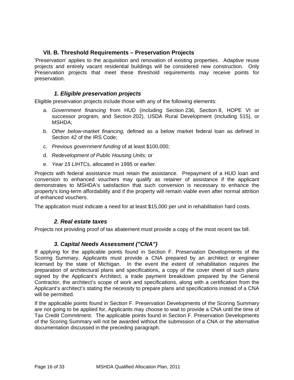## <span id="page-15-0"></span>**VII. B. Threshold Requirements – Preservation Projects**

<span id="page-15-1"></span>'Preservation' applies to the acquisition and renovation of existing properties. Adaptive reuse projects and entirely vacant residential buildings will be considered new construction. Only Preservation projects that meet these threshold requirements may receive points for preservation.

#### *1. Eligible preservation projects*

Eligible preservation projects include those with any of the following elements:

- a. *Government financing* from HUD (including Section 236, Section 8, HOPE VI or successor program, and Section 202), USDA Rural Development (including 515), or MSHDA;
- b. *Other below-market financing,* defined as a below market federal loan as defined in Section 42 of the IRS Code;
- c. *Previous government funding* of at least \$100,000;
- d. *Redevelopment of Public Housing Units;* or
- e. *Year 15 LIHTCs,* allocated in 1995 or earlier.

Projects with federal assistance must retain the assistance. Prepayment of a HUD loan and conversion to enhanced vouchers may qualify as retainer of assistance if the applicant demonstrates to MSHDA's satisfaction that such conversion is necessary to enhance the property's long-term affordability and if the property will remain viable even after normal attrition of enhanced vouchers.

The application must indicate a need for at least \$15,000 per unit in rehabilitation hard costs.

## *2. Real estate taxes*

Projects not providing proof of tax abatement must provide a copy of the most recent tax bill.

## *3. Capital Needs Assessment ("CNA")*

If applying for the applicable points found in Section F. Preservation Developments of the Scoring Summary, Applicants must provide a CNA prepared by an architect or engineer licensed by the state of Michigan. In the event the extent of rehabilitation requires the preparation of architectural plans and specifications, a copy of the cover sheet of such plans signed by the Applicant's Architect, a trade payment breakdown prepared by the General Contractor, the architect's scope of work and specifications, along with a certification from the Applicant's architect's stating the necessity to prepare plans and specifications instead of a CNA will be permitted.

If the applicable points found in Section F. Preservation Developments of the Scoring Summary are not going to be applied for, Applicants may choose to wait to provide a CNA until the time of Tax Credit Commitment. The applicable points found in Section F. Preservation Developments of the Scoring Summary will not be awarded without the submission of a CNA or the alternative documentation discussed in the preceding paragraph.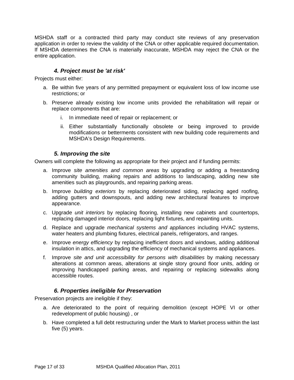<span id="page-16-0"></span>MSHDA staff or a contracted third party may conduct site reviews of any preservation application in order to review the validity of the CNA or other applicable required documentation. If MSHDA determines the CNA is materially inaccurate, MSHDA may reject the CNA or the entire application.

## *4. Project must be 'at risk'*

Projects must either:

- a. Be within five years of any permitted prepayment or equivalent loss of low income use restrictions; or
- b. Preserve already existing low income units provided the rehabilitation will repair or replace components that are:
	- i. In immediate need of repair or replacement; or
	- ii. Either substantially functionally obsolete or being improved to provide modifications or betterments consistent with new building code requirements and MSHDA's Design Requirements.

#### *5. Improving the site*

Owners will complete the following as appropriate for their project and if funding permits:

- a. Improve *site amenities and common areas* by upgrading or adding a freestanding community building, making repairs and additions to landscaping, adding new site amenities such as playgrounds, and repairing parking areas.
- b. Improve *building exteriors* by replacing deteriorated siding, replacing aged roofing, adding gutters and downspouts, and adding new architectural features to improve appearance.
- c. Upgrade *unit interiors* by replacing flooring, installing new cabinets and countertops, replacing damaged interior doors, replacing light fixtures, and repainting units.
- d. Replace and upgrade *mechanical systems and appliances* including HVAC systems, water heaters and plumbing fixtures, electrical panels, refrigerators, and ranges.
- e. Improve *energy efficiency* by replacing inefficient doors and windows, adding additional insulation in attics, and upgrading the efficiency of mechanical systems and appliances.
- f. Improve *site and unit accessibility for persons with disabilities* by making necessary alterations at common areas, alterations at single story ground floor units, adding or improving handicapped parking areas, and repairing or replacing sidewalks along accessible routes.

## *6. Properties ineligible for Preservation*

Preservation projects are ineligible if they:

- a. Are deteriorated to the point of requiring demolition (except HOPE VI or other redevelopment of public housing) , or
- b. Have completed a full debt restructuring under the Mark to Market process within the last five (5) years.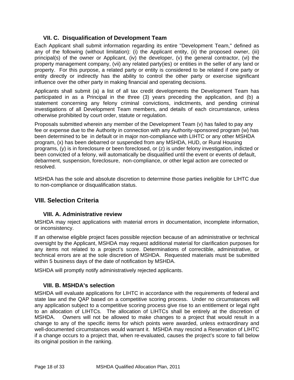## **VII. C. Disqualification of Development Team**

<span id="page-17-0"></span>Each Applicant shall submit information regarding its entire "Development Team," defined as any of the following (without limitation): (i) the Applicant entity, (ii) the proposed owner, (iii) principal(s) of the owner or Applicant, (iv) the developer, (v) the general contractor, (vi) the property management company, (vii) any related party(ies) or entities in the seller of any land or property. For this purpose, a related party or entity is considered to be related if one party or entity directly or indirectly has the ability to control the other party or exercise significant influence over the other party in making financial and operating decisions.

Applicants shall submit (a) a list of all tax credit developments the Development Team has participated in as a Principal in the three (3) years preceding the application, and (b) a statement concerning any felony criminal convictions, indictments, and pending criminal investigations of all Development Team members, and details of each circumstance, unless otherwise prohibited by court order, statute or regulation.

Proposals submitted wherein any member of the Development Team (v) has failed to pay any fee or expense due to the Authority in connection with any Authority-sponsored program (w) has been determined to be in default or in major non-compliance with LIHTC or any other MSHDA program, (x) has been debarred or suspended from any MSHDA, HUD, or Rural Housing programs, (y) is in foreclosure or been foreclosed, or (z) is under felony investigation, indicted or been convicted of a felony, will automatically be disqualified until the event or events of default, debarment, suspension, foreclosure, non-compliance, or other legal action are corrected or resolved.

MSHDA has the sole and absolute discretion to determine those parties ineligible for LIHTC due to non-compliance or disqualification status.

## **VIII. Selection Criteria**

## **VIII. A. Administrative review**

MSHDA may reject applications with material errors in documentation, incomplete information, or inconsistency.

If an otherwise eligible project faces possible rejection because of an administrative or technical oversight by the Applicant, MSHDA may request additional material for clarification purposes for any items not related to a project's score. Determinations of correctible, administrative, or technical errors are at the sole discretion of MSHDA. Requested materials must be submitted within 5 business days of the date of notification by MSHDA.

MSHDA will promptly notify administratively rejected applicants.

## **VIII. B. MSHDA's selection**

MSHDA will evaluate applications for LIHTC in accordance with the requirements of federal and state law and the QAP based on a competitive scoring process. Under no circumstances will any application subject to a competitive scoring process give rise to an entitlement or legal right to an allocation of LIHTCs. The allocation of LIHTCs shall be entirely at the discretion of MSHDA. Owners will not be allowed to make changes to a project that would result in a change to any of the specific items for which points were awarded, unless extraordinary and well-documented circumstances would warrant it. MSHDA may rescind a Reservation of LIHTC if a change occurs to a project that, when re-evaluated, causes the project's score to fall below its original position in the ranking.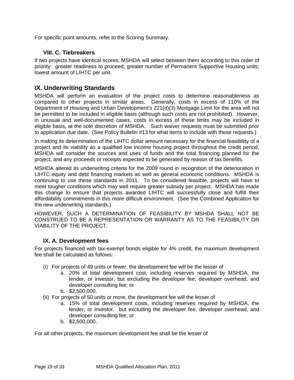<span id="page-18-0"></span>For specific point amounts, refer to the Scoring Summary.

## **VIII. C. Tiebreakers**

If two projects have identical scores, MSHDA will select between them according to this order of priority: greater readiness to proceed; greater number of Permanent Supportive Housing units; lowest amount of LIHTC per unit.

## **IX. Underwriting Standards**

MSHDA will perform an evaluation of the project costs to determine reasonableness as compared to other projects in similar areas. Generally, costs in excess of 110% of the Department of Housing and Urban Development's 221(d)(3) Mortgage Limit for the area will not be permitted to be included in eligible basis (although such costs are not prohibited). However, in unusual and well-documented cases, costs in excess of these limits may be included in eligible basis, at the sole discretion of MSHDA. Such waiver requests must be submitted prior to application due date. (See Policy Bulletin #13 for what items to include with these requests.)

In making its determination of the LIHTC dollar amount necessary for the financial feasibility of a project and its viability as a qualified low income housing project throughout the credit period, MSHDA will consider the sources and uses of funds and the total financing planned for the project, and any proceeds or receipts expected to be generated by reason of tax benefits.

MSHDA altered its underwriting criteria for the 2009 round in recognition of the deterioration in LIHTC equity and debt financing markets as well as general economic conditions. MSHDA is continuing to use these standards in 2011. To be considered feasible, projects will have to meet tougher conditions which may well require greater subsidy per project. MSHDA has made this change to ensure that projects awarded LIHTC will successfully close and fulfill their affordability commitments in this more difficult environment. (See the Combined Application for the new underwriting standards.)

HOWEVER, SUCH A DETERMINATION OF FEASIBILITY BY MSHDA SHALL NOT BE CONSTRUED TO BE A REPRESENTATION OR WARRANTY AS TO THE FEASIBILITY OR VIABILITY OF THE PROJECT.

## **IX. A. Development fees**

For projects financed with tax-exempt bonds eligible for 4% credit, the maximum development fee shall be calculated as follows:

- (i) For projects of 49 units or fewer, the development fee will be the lesser of
	- a. 20% of total development cost, including reserves required by MSHDA, the lender, or investor, but excluding the developer fee, developer overhead, and developer consulting fee; or
	- b. \$2,500,000.
- (ii) For projects of 50 units or more, the development fee will the lesser of
	- a. 15% of total development costs, including reserves required by MSHDA, the lender, or investor, but excluding the developer fee, developer overhead, and developer consulting fee; or
	- b. \$2,500,000.

For all other projects, the maximum development fee shall be the lesser of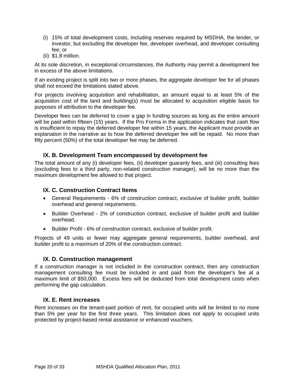- <span id="page-19-0"></span>(i) 15% of total development costs, including reserves required by MSDHA, the lender, or investor, but excluding the developer fee, developer overhead, and developer consulting fee; or
- (ii) \$1.8 million.

At its sole discretion, in exceptional circumstances, the Authority may permit a development fee in excess of the above limitations.

If an existing project is split into two or more phases, the aggregate developer fee for all phases shall not exceed the limitations stated above.

For projects involving acquisition and rehabilitation, an amount equal to at least 5% of the acquisition cost of the land and building(s) must be allocated to acquisition eligible basis for purposes of attribution to the developer fee.

Developer fees can be deferred to cover a gap in funding sources as long as the entire amount will be paid within fifteen (15) years. If the Pro Forma in the application indicates that cash flow is insufficient to repay the deferred developer fee within 15 years, the Applicant must provide an explanation in the narrative as to how the deferred developer fee will be repaid. No more than fifty percent (50%) of the total developer fee may be deferred.

## **IX. B. Development Team encompassed by development fee**

The total amount of any (i) developer fees, (ii) developer guaranty fees, and (iii) consulting fees (excluding fees to a third party, non-related construction manager), will be no more than the maximum development fee allowed to that project.

## **IX. C. Construction Contract Items**

- General Requirements 6% of construction contract, exclusive of builder profit, builder overhead and general requirements.
- Builder Overhead 2% of construction contract, exclusive of builder profit and builder overhead.
- Builder Profit 6% of construction contract, exclusive of builder profit.

Projects of 49 units or fewer may aggregate general requirements, builder overhead, and builder profit to a maximum of 20% of the construction contract.

## **IX. D. Construction management**

If a construction manager is not included in the construction contract, then any construction management consulting fee must be included in and paid from the developer's fee at a maximum limit of \$50,000. Excess fees will be deducted from total development costs when performing the gap calculation.

## **IX. E. Rent increases**

Rent increases on the tenant-paid portion of rent, for occupied units will be limited to no more than 5% per year for the first three years. This limitation does not apply to occupied units protected by project-based rental assistance or enhanced vouchers.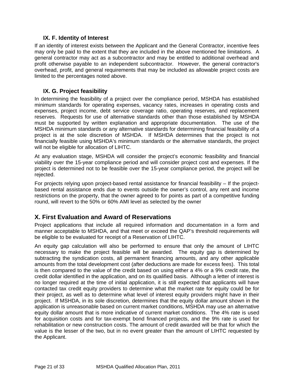## **IX. F. Identity of Interest**

<span id="page-20-0"></span>If an identity of interest exists between the Applicant and the General Contractor, incentive fees may only be paid to the extent that they are included in the above mentioned fee limitations. A general contractor may act as a subcontractor and may be entitled to additional overhead and profit otherwise payable to an independent subcontractor. However, the general contractor's overhead, profit, and general requirements that may be included as allowable project costs are limited to the percentages noted above.

## **IX. G. Project feasibility**

In determining the feasibility of a project over the compliance period, MSHDA has established minimum standards for operating expenses, vacancy rates, increases in operating costs and expenses, project income, debt service coverage ratio, operating reserves, and replacement reserves. Requests for use of alternative standards other than those established by MSHDA must be supported by written explanation and appropriate documentation. The use of the MSHDA minimum standards or any alternative standards for determining financial feasibility of a project is at the sole discretion of MSHDA. If MSHDA determines that the project is not financially feasible using MSHDA's minimum standards or the alternative standards, the project will not be eligible for allocation of LIHTC.

At any evaluation stage, MSHDA will consider the project's economic feasibility and financial viability over the 15-year compliance period and will consider project cost and expenses. If the project is determined not to be feasible over the 15-year compliance period, the project will be rejected.

For projects relying upon project-based rental assistance for financial feasibility – If the projectbased rental assistance ends due to events outside the owner's control, any rent and income restrictions on the property, that the owner agreed to for points as part of a competitive funding round, will revert to the 50% or 60% AMI level as selected by the owner

# **X. First Evaluation and Award of Reservations**

Project applications that include all required information and documentation in a form and manner acceptable to MSHDA, and that meet or exceed the QAP's threshold requirements will be eligible to be evaluated for receipt of a Reservation of LIHTC.

An equity gap calculation will also be performed to ensure that only the amount of LIHTC necessary to make the project feasible will be awarded. The equity gap is determined by subtracting the syndication costs, all permanent financing amounts, and any other applicable amounts from the total development cost (after deductions are made for excess fees). This total is then compared to the value of the credit based on using either a 4% or a 9% credit rate, the credit dollar identified in the application, and on its qualified basis. Although a letter of interest is no longer required at the time of initial application, it is still expected that applicants will have contacted tax credit equity providers to determine what the market rate for equity could be for their project, as well as to determine what level of interest equity providers might have in their project. If MSHDA, in its sole discretion, determines that the equity dollar amount shown in the application is unreasonable based on current market conditions, MSHDA may use an alternative equity dollar amount that is more indicative of current market conditions. The 4% rate is used for acquisition costs and for tax-exempt bond financed projects, and the 9% rate is used for rehabilitation or new construction costs. The amount of credit awarded will be that for which the value is the lesser of the two, but in no event greater than the amount of LIHTC requested by the Applicant.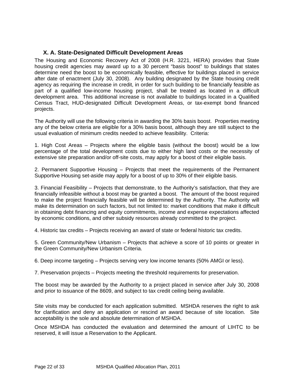## <span id="page-21-0"></span>**X. A. State-Designated Difficult Development Areas**

The Housing and Economic Recovery Act of 2008 (H.R. 3221, HERA) provides that State housing credit agencies may award up to a 30 percent "basis boost" to buildings that states determine need the boost to be economically feasible, effective for buildings placed in service after date of enactment (July 30, 2008). Any building designated by the State housing credit agency as requiring the increase in credit, in order for such building to be financially feasible as part of a qualified low-income housing project, shall be treated as located in a difficult development area. This additional increase is not available to buildings located in a Qualified Census Tract, HUD-designated Difficult Development Areas, or tax-exempt bond financed projects.

The Authority will use the following criteria in awarding the 30% basis boost. Properties meeting any of the below criteria are eligible for a 30% basis boost, although they are still subject to the usual evaluation of minimum credits needed to achieve feasibility. Criteria:

1. High Cost Areas – Projects where the eligible basis (without the boost) would be a low percentage of the total development costs due to either high land costs or the necessity of extensive site preparation and/or off-site costs, may apply for a boost of their eligible basis.

2. Permanent Supportive Housing – Projects that meet the requirements of the Permanent Supportive Housing set-aside may apply for a boost of up to 30% of their eligible basis.

3. Financial Feasibility – Projects that demonstrate, to the Authority's satisfaction, that they are financially infeasible without a boost may be granted a boost. The amount of the boost required to make the project financially feasible will be determined by the Authority. The Authority will make its determination on such factors, but not limited to: market conditions that make it difficult in obtaining debt financing and equity commitments, income and expense expectations affected by economic conditions, and other subsidy resources already committed to the project.

4. Historic tax credits – Projects receiving an award of state or federal historic tax credits.

5. Green Community/New Urbanism – Projects that achieve a score of 10 points or greater in the Green Community/New Urbanism Criteria.

6. Deep income targeting – Projects serving very low income tenants (50% AMGI or less).

7. Preservation projects – Projects meeting the threshold requirements for preservation.

The boost may be awarded by the Authority to a project placed in service after July 30, 2008 and prior to issuance of the 8609, and subject to tax credit ceiling being available.

Site visits may be conducted for each application submitted. MSHDA reserves the right to ask for clarification and deny an application or rescind an award because of site location. Site acceptability is the sole and absolute determination of MSHDA.

Once MSHDA has conducted the evaluation and determined the amount of LIHTC to be reserved, it will issue a Reservation to the Applicant.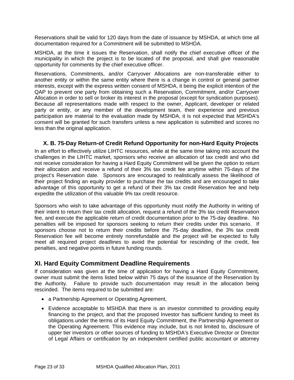<span id="page-22-0"></span>Reservations shall be valid for 120 days from the date of issuance by MSHDA, at which time all documentation required for a Commitment will be submitted to MSHDA.

MSHDA, at the time it issues the Reservation, shall notify the chief executive officer of the municipality in which the project is to be located of the proposal, and shall give reasonable opportunity for comments by the chief executive officer.

Reservations, Commitments, and/or Carryover Allocations are non-transferable either to another entity or within the same entity where there is a change in control or general partner interests, except with the express written consent of MSHDA, it being the explicit intention of the QAP to prevent one party from obtaining such a Reservation, Commitment, and/or Carryover Allocation in order to sell or broker its interest in the proposal (except for syndication purposes). Because all representations made with respect to the owner, Applicant, developer or related party or entity, or any member of the development team, their experience and previous participation are material to the evaluation made by MSHDA, it is not expected that MSHDA's consent will be granted for such transfers unless a new application is submitted and scores no less than the original application.

## **X. B. 75-Day Return-of Credit Refund Opportunity for non-Hard Equity Projects**

In an effort to effectively utilize LIHTC resources, while at the same time taking into account the challenges in the LIHTC market, sponsors who receive an allocation of tax credit and who did not receive consideration for having a Hard Equity Commitment will be given the option to return their allocation and receive a refund of their 3% tax credit fee anytime within 75-days of the project's Reservation date. Sponsors are encouraged to realistically assess the likelihood of their project finding an equity provider to purchase the tax credits and are encouraged to take advantage of this opportunity to get a refund of their 3% tax credit Reservation fee and help expedite the utilization of this valuable 9% tax credit resource.

Sponsors who wish to take advantage of this opportunity must notify the Authority in writing of their intent to return their tax credit allocation, request a refund of the 3% tax credit Reservation fee, and execute the applicable return of credit documentation prior to the 75-day deadline. No penalties will be imposed for sponsors seeking to return their credits under this scenario. If sponsors choose not to return their credits before the 75-day deadline, the 3% tax credit Reservation fee will become entirely nonrefundable and the project will be expected to fully meet all required project deadlines to avoid the potential for rescinding of the credit, fee penalties, and negative points in future funding rounds.

# **XI. Hard Equity Commitment Deadline Requirements**

If consideration was given at the time of application for having a Hard Equity Commitment, owner must submit the items listed below within 75 days of the issuance of the Reservation by the Authority. Failure to provide such documentation may result in the allocation being rescinded. The items required to be submitted are:

- a Partnership Agreement or Operating Agreement,
- Evidence acceptable to MSHDA that there is an investor committed to providing equity financing to the project, and that the proposed Investor has sufficient funding to meet its obligations under the terms of its Hard Equity Commitment, the Partnership Agreement or the Operating Agreement. This evidence may include, but is not limited to, disclosure of upper tier investors or other sources of funding to MSHDA's Executive Director or Director of Legal Affairs or certification by an independent certified public accountant or attorney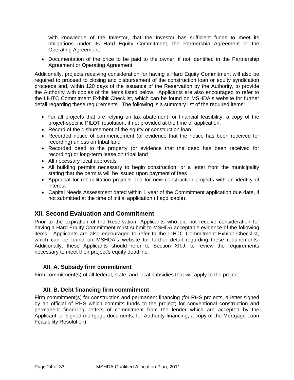<span id="page-23-0"></span>with knowledge of the Investor, that the Investor has sufficient funds to meet its obligations under its Hard Equity Commitment, the Partnership Agreement or the Operating Agreement.,

• Documentation of the price to be paid to the owner, if not identified in the Partnership Agreement or Operating Agreement.

Additionally, projects receiving consideration for having a Hard Equity Commitment will also be required to proceed to closing and disbursement of the construction loan or equity syndication proceeds and, within 120 days of the issuance of the Reservation by the Authority, to provide the Authority with copies of the items listed below. Applicants are also encouraged to refer to the LIHTC Commitment Exhibit Checklist, which can be found on MSHDA's website for further detail regarding these requirements. The following is a summary list of the required items:

- For all projects that are relying on tax abatement for financial feasibility, a copy of the project-specific PILOT resolution, if not provided at the time of application.
- Record of the disbursement of the equity or construction loan
- Recorded notice of commencement (or evidence that the notice has been received for recording) unless on tribal land
- Recorded deed to the property (or evidence that the deed has been received for recording) or long-term lease on tribal land
- All necessary local approvals
- All building permits necessary to begin construction, or a letter from the municipality stating that the permits will be issued upon payment of fees
- Appraisal for rehabilitation projects and for new construction projects with an identity of interest
- Capital Needs Assessment dated within 1 year of the Commitment application due date, if not submitted at the time of initial application (if applicable).

# **XII. Second Evaluation and Commitment**

Prior to the expiration of the Reservation, Applicants who did not receive consideration for having a Hard Equity Commitment must submit to MSHDA acceptable evidence of the following items. Applicants are also encouraged to refer to the LIHTC Commitment Exhibit Checklist, which can be found on MSHDA's website for further detail regarding these requirements. Additionally, these Applicants should refer to Section XII.J. to review the requirements necessary to meet their project's equity deadline.

## **XII. A. Subsidy firm commitment**

Firm commitment(s) of all federal, state, and local subsidies that will apply to the project.

## **XII. B. Debt financing firm commitment**

Firm commitment(s) for construction and permanent financing (for RHS projects, a letter signed by an official of RHS which commits funds to the project; for conventional construction and permanent financing, letters of commitment from the lender which are accepted by the Applicant, or signed mortgage documents; for Authority financing, a copy of the Mortgage Loan Feasibility Resolution).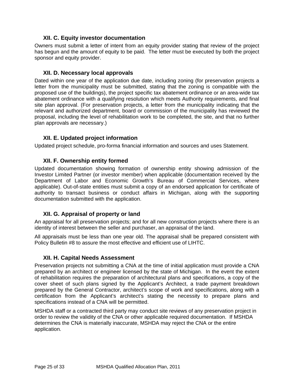## **XII. C. Equity investor documentation**

<span id="page-24-0"></span>Owners must submit a letter of intent from an equity provider stating that review of the project has begun and the amount of equity to be paid. The letter must be executed by both the project sponsor and equity provider.

#### **XII. D. Necessary local approvals**

Dated within one year of the application due date, including zoning (for preservation projects a letter from the municipality must be submitted, stating that the zoning is compatible with the proposed use of the buildings), the project specific tax abatement ordinance or an area-wide tax abatement ordinance with a qualifying resolution which meets Authority requirements, and final site plan approval. (For preservation projects, a letter from the municipality indicating that the relevant and authorized department, board or commission of the municipality has reviewed the proposal, including the level of rehabilitation work to be completed, the site, and that no further plan approvals are necessary.)

## **XII. E. Updated project information**

Updated project schedule, pro-forma financial information and sources and uses Statement.

## **XII. F. Ownership entity formed**

Updated documentation showing formation of ownership entity showing admission of the Investor Limited Partner (or investor member) when applicable (documentation received by the Department of Labor and Economic Growth's Bureau of Commercial Services, where applicable). Out-of-state entities must submit a copy of an endorsed application for certificate of authority to transact business or conduct affairs in Michigan, along with the supporting documentation submitted with the application.

## **XII. G. Appraisal of property or land**

An appraisal for all preservation projects; and for all new construction projects where there is an identity of interest between the seller and purchaser, an appraisal of the land.

All appraisals must be less than one year old. The appraisal shall be prepared consistent with Policy Bulletin #8 to assure the most effective and efficient use of LIHTC.

#### **XII. H. Capital Needs Assessment**

Preservation projects not submitting a CNA at the time of initial application must provide a CNA prepared by an architect or engineer licensed by the state of Michigan. In the event the extent of rehabilitation requires the preparation of architectural plans and specifications, a copy of the cover sheet of such plans signed by the Applicant's Architect, a trade payment breakdown prepared by the General Contractor, architect's scope of work and specifications, along with a certification from the Applicant's architect's stating the necessity to prepare plans and specifications instead of a CNA will be permitted.

MSHDA staff or a contracted third party may conduct site reviews of any preservation project in order to review the validity of the CNA or other applicable required documentation. If MSHDA determines the CNA is materially inaccurate, MSHDA may reject the CNA or the entire application.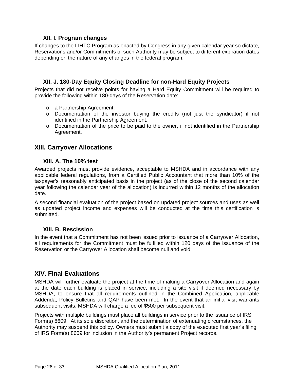## **XII. I. Program changes**

<span id="page-25-0"></span>If changes to the LIHTC Program as enacted by Congress in any given calendar year so dictate, Reservations and/or Commitments of such Authority may be subject to different expiration dates depending on the nature of any changes in the federal program.

## **XII. J. 180-Day Equity Closing Deadline for non-Hard Equity Projects**

Projects that did not receive points for having a Hard Equity Commitment will be required to provide the following within 180-days of the Reservation date:

- o a Partnership Agreement,
- o Documentation of the investor buying the credits (not just the syndicator) if not identified in the Partnership Agreement,
- $\circ$  Documentation of the price to be paid to the owner, if not identified in the Partnership Agreement.

## **XIII. Carryover Allocations**

## **XIII. A. The 10% test**

Awarded projects must provide evidence, acceptable to MSHDA and in accordance with any applicable federal regulations, from a Certified Public Accountant that more than 10% of the taxpayer's reasonably anticipated basis in the project (as of the close of the second calendar year following the calendar year of the allocation) is incurred within 12 months of the allocation date.

A second financial evaluation of the project based on updated project sources and uses as well as updated project income and expenses will be conducted at the time this certification is submitted.

## **XIII. B. Rescission**

In the event that a Commitment has not been issued prior to issuance of a Carryover Allocation, all requirements for the Commitment must be fulfilled within 120 days of the issuance of the Reservation or the Carryover Allocation shall become null and void.

## **XIV. Final Evaluations**

MSHDA will further evaluate the project at the time of making a Carryover Allocation and again at the date each building is placed in service, including a site visit if deemed necessary by MSHDA, to ensure that all requirements outlined in the Combined Application, applicable Addenda, Policy Bulletins and QAP have been met. In the event that an initial visit warrants subsequent visits, MSHDA will charge a fee of \$500 per subsequent visit.

Projects with multiple buildings must place all buildings in service prior to the issuance of IRS Form(s) 8609. At its sole discretion, and the determination of extenuating circumstances, the Authority may suspend this policy. Owners must submit a copy of the executed first year's filing of IRS Form(s) 8609 for inclusion in the Authority's permanent Project records.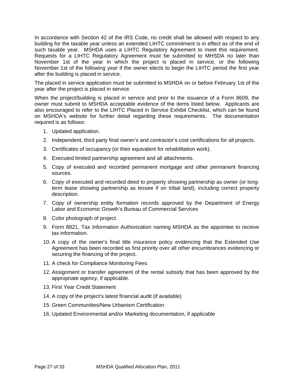In accordance with Section 42 of the IRS Code, no credit shall be allowed with respect to any building for the taxable year unless an extended LIHTC commitment is in effect as of the end of such taxable year. MSHDA uses a LIHTC Regulatory Agreement to meet this requirement. Requests for a LIHTC Regulatory Agreement must be submitted to MHSDA no later than November 1st of the year in which the project is placed in service, or the following November 1st of the following year if the owner elects to begin the LIHTC period the first year after the building is placed in service.

The placed in service application must be submitted to MSHDA on or before February 1st of the year after the project is placed in service.

When the project/building is placed in service and prior to the issuance of a Form 8609, the owner must submit to MSHDA acceptable evidence of the items listed below. Applicants are also encouraged to refer to the LIHTC Placed in Service Exhibit Checklist, which can be found on MSHDA's website for further detail regarding these requirements. The documentation required is as follows:

- 1. Updated application.
- 2. Independent, third party final owner's and contractor's cost certifications for all projects.
- 3. Certificates of occupancy (or their equivalent for rehabilitation work).
- 4. Executed limited partnership agreement and all attachments.
- 5. Copy of executed and recorded permanent mortgage and other permanent financing sources.
- 6. Copy of executed and recorded deed to property showing partnership as owner (or longterm lease showing partnership as lessee if on tribal land), including correct property description.
- 7. Copy of ownership entity formation records approved by the Department of Energy Labor and Economic Growth's Bureau of Commercial Services
- 8. Color photograph of project.
- 9. Form 8821, Tax Information Authorization naming MSHDA as the appointee to receive tax information.
- 10. A copy of the owner's final title insurance policy evidencing that the Extended Use Agreement has been recorded as first priority over all other encumbrances evidencing or securing the financing of the project.
- 11. A check for Compliance Monitoring Fees.
- 12. Assignment or transfer agreement of the rental subsidy that has been approved by the appropriate agency, if applicable.
- 13. First Year Credit Statement
- 14. A copy of the project's latest financial audit (if available)
- 15. Green Communities/New Urbanism Certification
- 16. Updated Environmental and/or Marketing documentation, if applicable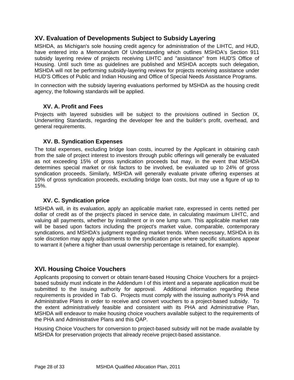# <span id="page-27-0"></span>**XV. Evaluation of Developments Subject to Subsidy Layering**

MSHDA, as Michigan's sole housing credit agency for administration of the LIHTC, and HUD, have entered into a Memorandum Of Understanding which outlines MSHDA's Section 911 subsidy layering review of projects receiving LIHTC and "assistance" from HUD'S Office of Housing. Until such time as guidelines are published and MSHDA accepts such delegation, MSHDA will not be performing subsidy-layering reviews for projects receiving assistance under HUD'S Offices of Public and Indian Housing and Office of Special Needs Assistance Programs.

In connection with the subsidy layering evaluations performed by MSHDA as the housing credit agency, the following standards will be applied.

## **XV. A. Profit and Fees**

Projects with layered subsidies will be subject to the provisions outlined in Section IX, Underwriting Standards, regarding the developer fee and the builder's profit, overhead, and general requirements.

## **XV. B. Syndication Expenses**

The total expenses, excluding bridge loan costs, incurred by the Applicant in obtaining cash from the sale of project interest to investors through public offerings will generally be evaluated as not exceeding 15% of gross syndication proceeds but may, in the event that MSHDA determines special market or risk factors to be involved, be evaluated up to 24% of gross syndication proceeds. Similarly, MSHDA will generally evaluate private offering expenses at 10% of gross syndication proceeds, excluding bridge loan costs, but may use a figure of up to 15%.

## **XV. C. Syndication price**

MSHDA will, in its evaluation, apply an applicable market rate, expressed in cents netted per dollar of credit as of the project's placed in service date, in calculating maximum LIHTC, and valuing all payments, whether by installment or in one lump sum. This applicable market rate will be based upon factors including the project's market value, comparable, contemporary syndications, and MSHDA's judgment regarding market trends. When necessary, MSHDA in its sole discretion may apply adjustments to the syndication price where specific situations appear to warrant it (where a higher than usual ownership percentage is retained, for example).

## **XVI. Housing Choice Vouchers**

Applicants proposing to convert or obtain tenant-based Housing Choice Vouchers for a projectbased subsidy must indicate in the Addendum I of this intent and a separate application must be submitted to the issuing authority for approval. Additional information regarding these requirements is provided in Tab G. Projects must comply with the issuing authority's PHA and Administrative Plans in order to receive and convert vouchers to a project-based subsidy. To the extent administratively feasible and consistent with its PHA and Administrative Plan, MSHDA will endeavor to make housing choice vouchers available subject to the requirements of the PHA and Administrative Plans and this QAP.

Housing Choice Vouchers for conversion to project-based subsidy will not be made available by MSHDA for preservation projects that already receive project-based assistance.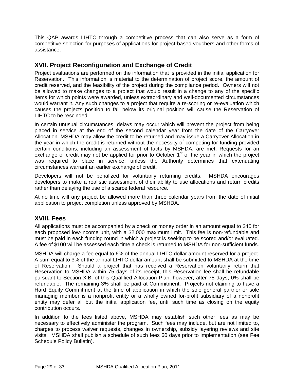<span id="page-28-0"></span>This QAP awards LIHTC through a competitive process that can also serve as a form of competitive selection for purposes of applications for project-based vouchers and other forms of assistance.

# **XVII. Project Reconfiguration and Exchange of Credit**

Project evaluations are performed on the information that is provided in the initial application for Reservation. This information is material to the determination of project score, the amount of credit reserved, and the feasibility of the project during the compliance period. Owners will not be allowed to make changes to a project that would result in a change to any of the specific items for which points were awarded, unless extraordinary and well-documented circumstances would warrant it. Any such changes to a project that require a re-scoring or re-evaluation which causes the projects position to fall below its original position will cause the Reservation of LIHTC to be rescinded.

In certain unusual circumstances, delays may occur which will prevent the project from being placed in service at the end of the second calendar year from the date of the Carryover Allocation. MSHDA may allow the credit to be returned and may issue a Carryover Allocation in the year in which the credit is returned without the necessity of competing for funding provided certain conditions, including an assessment of facts by MSHDA, are met. Requests for an exchange of credit may not be applied for prior to October  $1<sup>st</sup>$  of the year in which the project was required to place in service, unless the Authority determines that extenuating circumstances warrant an earlier exchange of credit.

Developers will not be penalized for voluntarily returning credits. MSHDA encourages developers to make a realistic assessment of their ability to use allocations and return credits rather than delaying the use of a scarce federal resource.

At no time will any project be allowed more than three calendar years from the date of initial application to project completion unless approved by MSHDA.

# **XVIII. Fees**

All applications must be accompanied by a check or money order in an amount equal to \$40 for each proposed low-income unit, with a \$2,000 maximum limit. This fee is non-refundable and must be paid in each funding round in which a project is seeking to be scored and/or evaluated. A fee of \$100 will be assessed each time a check is returned to MSHDA for non-sufficient funds.

MSHDA will charge a fee equal to 6% of the annual LIHTC dollar amount reserved for a project. A sum equal to 3% of the annual LIHTC dollar amount shall be submitted to MSHDA at the time of Reservation. Should a project that has received a Reservation voluntarily return that Reservation to MSHDA within 75 days of its receipt, this Reservation fee shall be refundable pursuant to Section X.B. of this Qualified Allocation Plan; however, after 75 days, 0% shall be refundable. The remaining 3% shall be paid at Commitment. Projects not claiming to have a Hard Equity Commitment at the time of application in which the sole general partner or sole managing member is a nonprofit entity or a wholly owned for-profit subsidiary of a nonprofit entity may defer all but the initial application fee, until such time as closing on the equity contribution occurs.

In addition to the fees listed above, MSHDA may establish such other fees as may be necessary to effectively administer the program. Such fees may include, but are not limited to, charges to process waiver requests, changes in ownership, subsidy layering reviews and site visits. MSHDA shall publish a schedule of such fees 60 days prior to implementation (see Fee Schedule Policy Bulletin).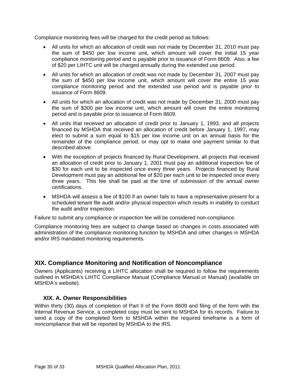<span id="page-29-0"></span>Compliance monitoring fees will be charged for the credit period as follows:

- All units for which an allocation of credit was not made by December 31, 2010 must pay the sum of \$450 per low income unit, which amount will cover the initial 15 year compliance monitoring period and is payable prior to issuance of Form 8609. Also, a fee of \$20 per LIHTC unit will be charged annually during the extended use period.
- All units for which an allocation of credit was not made by December 31, 2007 must pay the sum of \$450 per low income unit, which amount will cover the entire 15 year compliance monitoring period and the extended use period and is payable prior to issuance of Form 8609.
- All units for which an allocation of credit was not made by December 31, 2000 must pay the sum of \$300 per low income unit, which amount will cover the entire monitoring period and is payable prior to issuance of Form 8609.
- All units that received an allocation of credit prior to January 1, 1993, and all projects financed by MSHDA that received an allocation of credit before January 1, 1997, may elect to submit a sum equal to \$15 per low income unit on an annual basis for the remainder of the compliance period, or may opt to make one payment similar to that described above.
- With the exception of projects financed by Rural Development, all projects that received an allocation of credit prior to January 1, 2001 must pay an additional inspection fee of \$30 for each unit to be inspected once every three years. Projects financed by Rural Development must pay an additional fee of \$20 per each unit to be inspected once every three years. This fee shall be paid at the time of submission of the annual owner certifications.
- MSHDA will assess a fee of \$100 if an owner fails to have a representative present for a scheduled tenant file audit and/or physical inspection which results in inability to conduct the audit and/or inspection.

Failure to submit any compliance or inspection fee will be considered non-compliance.

Compliance monitoring fees are subject to change based on changes in costs associated with administration of the compliance monitoring function by MSHDA and other changes in MSHDA and/or IRS mandated monitoring requirements.

# **XIX. Compliance Monitoring and Notification of Noncompliance**

Owners (Applicants) receiving a LIHTC allocation shall be required to follow the requirements outlined in MSHDA's LIHTC Compliance Manual (Compliance Manual or Manual) (available on MSHDA's website).

## **XIX. A. Owner Responsibilities**

Within thirty (30) days of completion of Part II of the Form 8609 and filing of the form with the Internal Revenue Service, a completed copy must be sent to MSHDA for its records. Failure to send a copy of the completed form to MSHDA within the required timeframe is a form of noncompliance that will be reported by MSHDA to the IRS.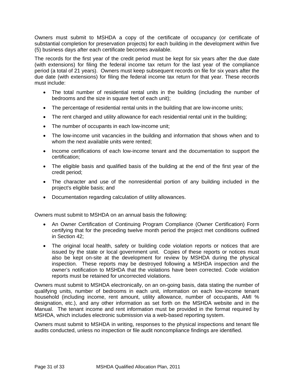Owners must submit to MSHDA a copy of the certificate of occupancy (or certificate of substantial completion for preservation projects) for each building in the development within five (5) business days after each certificate becomes available.

The records for the first year of the credit period must be kept for six years after the due date (with extensions) for filing the federal income tax return for the last year of the compliance period (a total of 21 years). Owners must keep subsequent records on file for six years after the due date (with extensions) for filing the federal income tax return for that year. These records must include:

- The total number of residential rental units in the building (including the number of bedrooms and the size in square feet of each unit);
- The percentage of residential rental units in the building that are low-income units;
- The rent charged and utility allowance for each residential rental unit in the building;
- The number of occupants in each low-income unit;
- The low-income unit vacancies in the building and information that shows when and to whom the next available units were rented;
- Income certifications of each low-income tenant and the documentation to support the certification;
- The eligible basis and qualified basis of the building at the end of the first year of the credit period;
- The character and use of the nonresidential portion of any building included in the project's eligible basis; and
- Documentation regarding calculation of utility allowances.

Owners must submit to MSHDA on an annual basis the following:

- An Owner Certification of Continuing Program Compliance (Owner Certification) Form certifying that for the preceding twelve month period the project met conditions outlined in Section 42;
- The original local health, safety or building code violation reports or notices that are issued by the state or local government unit. Copies of these reports or notices must also be kept on-site at the development for review by MSHDA during the physical inspection. These reports may be destroyed following a MSHDA inspection and the owner's notification to MSHDA that the violations have been corrected. Code violation reports must be retained for uncorrected violations.

Owners must submit to MSHDA electronically, on an on-going basis, data stating the number of qualifying units, number of bedrooms in each unit, information on each low-income tenant household (including income, rent amount, utility allowance, number of occupants, AMI % designation, etc.), and any other information as set forth on the MSHDA website and in the Manual. The tenant income and rent information must be provided in the format required by MSHDA, which includes electronic submission via a web-based reporting system.

Owners must submit to MSHDA in writing, responses to the physical inspections and tenant file audits conducted, unless no inspection or file audit noncompliance findings are identified.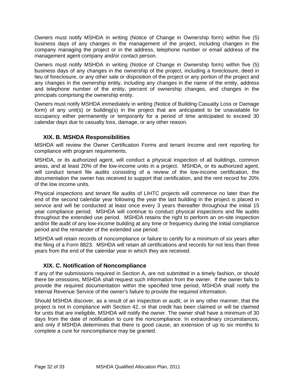<span id="page-31-0"></span>Owners must notify MSHDA in writing (Notice of Change in Ownership form) within five (5) business days of any changes in the management of the project, including changes in the company managing the project or in the address, telephone number or email address of the management agent company and/or contact person.

Owners must notify MSHDA in writing (Notice of Change in Ownership form) within five (5) business days of any changes in the ownership of the project, including a foreclosure, deed in lieu of foreclosure, or any other sale or disposition of the project or any portion of the project and any changes in the ownership entity, including any changes in the name of the entity, address and telephone number of the entity, percent of ownership changes, and changes in the principals comprising the ownership entity.

Owners must notify MSHDA immediately in writing (Notice of Building Casualty Loss or Damage form) of any unit(s) or building(s) in the project that are anticipated to be unavailable for occupancy either permanently or temporarily for a period of time anticipated to exceed 30 calendar days due to casualty loss, damage, or any other reason.

## **XIX. B. MSHDA Responsibilities**

MSHDA will review the Owner Certification Forms and tenant Income and rent reporting for compliance with program requirements.

MSHDA, or its authorized agent, will conduct a physical inspection of all buildings, common areas, and at least 20% of the low-income units in a project. MSHDA, or its authorized agent, will conduct tenant file audits consisting of a review of the low-income certification, the documentation the owner has received to support that certification, and the rent record for 20% of the low income units.

Physical inspections and tenant file audits of LIHTC projects will commence no later than the end of the second calendar year following the year the last building in the project is placed in service and will be conducted at least once every 3 years thereafter throughout the initial 15 year compliance period. MSHDA will continue to conduct physical inspections and file audits throughout the extended use period. MSHDA retains the right to perform an on-site inspection and/or file audit of any low-income building at any time or frequency during the initial compliance period and the remainder of the extended use period.

MSHDA will retain records of noncompliance or failure to certify for a minimum of six years after the filing of a Form 8823. MSHDA will retain all certifications and records for not less than three years from the end of the calendar year in which they are received.

## **XIX. C. Notification of Noncompliance**

If any of the submissions required in Section A, are not submitted in a timely fashion, or should there be omissions, MSHDA shall request such information from the owner. If the owner fails to provide the required documentation within the specified time period, MSHDA shall notify the Internal Revenue Service of the owner's failure to provide the required information.

Should MSHDA discover, as a result of an inspection or audit, or in any other manner, that the project is not in compliance with Section 42, or that credit has been claimed or will be claimed for units that are ineligible, MSHDA will notify the owner. The owner shall have a minimum of 30 days from the date of notification to cure the noncompliance. In extraordinary circumstances, and only if MSHDA determines that there is good cause, an extension of up to six months to complete a cure for noncompliance may be granted.